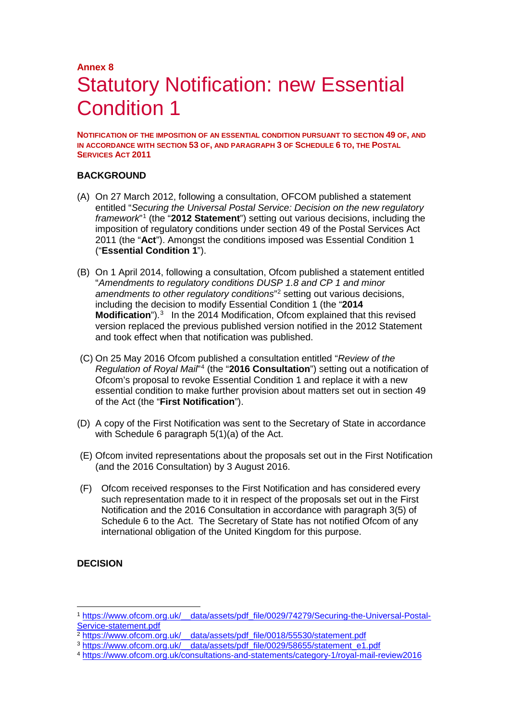## **Annex 8** Statutory Notification: new Essential Condition 1

**NOTIFICATION OF THE IMPOSITION OF AN ESSENTIAL CONDITION PURSUANT TO SECTION 49 OF, AND IN ACCORDANCE WITH SECTION 53 OF, AND PARAGRAPH 3 OF SCHEDULE 6 TO, THE POSTAL SERVICES ACT 2011**

#### **BACKGROUND**

- (A) On 27 March 2012, following a consultation, OFCOM published a statement entitled "*Securing the Universal Postal Service: Decision on the new regulatory framework*"[1](#page-0-0) (the "**2012 Statement**") setting out various decisions, including the imposition of regulatory conditions under section 49 of the Postal Services Act 2011 (the "**Act**"). Amongst the conditions imposed was Essential Condition 1 ("**Essential Condition 1**").
- (B) On 1 April 2014, following a consultation, Ofcom published a statement entitled "*Amendments to regulatory conditions DUSP 1.8 and CP 1 and minor amendments to other regulatory conditions*"[2](#page-0-1) setting out various decisions, including the decision to modify Essential Condition 1 (the "**2014 Modification**").<sup>[3](#page-0-2)</sup> In the 2014 Modification, Ofcom explained that this revised version replaced the previous published version notified in the 2012 Statement and took effect when that notification was published.
- (C) On 25 May 2016 Ofcom published a consultation entitled "*Review of the Regulation of Royal Mail*"[4](#page-0-3) (the "**2016 Consultation**") setting out a notification of Ofcom's proposal to revoke Essential Condition 1 and replace it with a new essential condition to make further provision about matters set out in section 49 of the Act (the "**First Notification**").
- (D) A copy of the First Notification was sent to the Secretary of State in accordance with Schedule 6 paragraph 5(1)(a) of the Act.
- (E) Ofcom invited representations about the proposals set out in the First Notification (and the 2016 Consultation) by 3 August 2016.
- (F) Ofcom received responses to the First Notification and has considered every such representation made to it in respect of the proposals set out in the First Notification and the 2016 Consultation in accordance with paragraph 3(5) of Schedule 6 to the Act. The Secretary of State has not notified Ofcom of any international obligation of the United Kingdom for this purpose.

#### **DECISION**

<span id="page-0-0"></span> <sup>1</sup> [https://www.ofcom.org.uk/\\_\\_data/assets/pdf\\_file/0029/74279/Securing-the-Universal-Postal-](https://www.ofcom.org.uk/__data/assets/pdf_file/0029/74279/Securing-the-Universal-Postal-Service-statement.pdf)[Service-statement.pdf](https://www.ofcom.org.uk/__data/assets/pdf_file/0029/74279/Securing-the-Universal-Postal-Service-statement.pdf)<br>
<sup>2</sup> https://www.ofcom.org.uk/ data/assets/pdf file/0018/55530/statement.pdf

<span id="page-0-3"></span><span id="page-0-2"></span><span id="page-0-1"></span><sup>&</sup>lt;sup>3</sup>https://www.ofcom.org.uk/\_data/assets/pdf\_file/0029/58655/statement\_e1.pdf<br>4 <https://www.ofcom.org.uk/consultations-and-statements/category-1/royal-mail-review2016>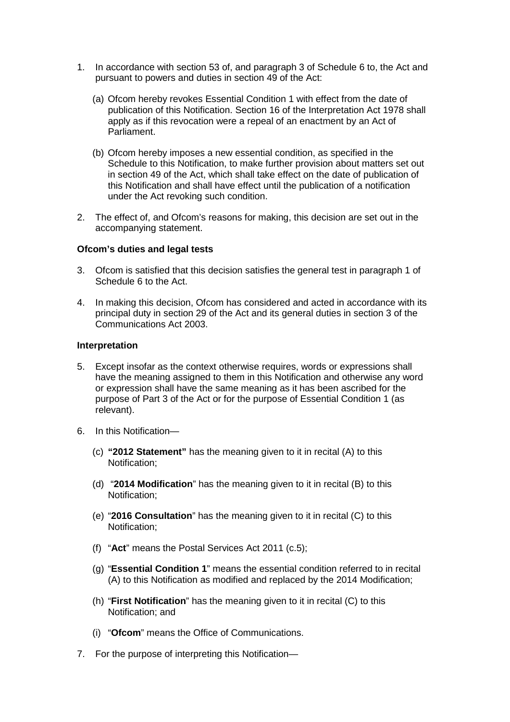- 1. In accordance with section 53 of, and paragraph 3 of Schedule 6 to, the Act and pursuant to powers and duties in section 49 of the Act:
	- (a) Ofcom hereby revokes Essential Condition 1 with effect from the date of publication of this Notification. Section 16 of the Interpretation Act 1978 shall apply as if this revocation were a repeal of an enactment by an Act of Parliament.
	- (b) Ofcom hereby imposes a new essential condition, as specified in the Schedule to this Notification, to make further provision about matters set out in section 49 of the Act, which shall take effect on the date of publication of this Notification and shall have effect until the publication of a notification under the Act revoking such condition.
- 2. The effect of, and Ofcom's reasons for making, this decision are set out in the accompanying statement.

#### **Ofcom's duties and legal tests**

- 3. Ofcom is satisfied that this decision satisfies the general test in paragraph 1 of Schedule 6 to the Act.
- 4. In making this decision, Ofcom has considered and acted in accordance with its principal duty in section 29 of the Act and its general duties in section 3 of the Communications Act 2003.

#### **Interpretation**

- 5. Except insofar as the context otherwise requires, words or expressions shall have the meaning assigned to them in this Notification and otherwise any word or expression shall have the same meaning as it has been ascribed for the purpose of Part 3 of the Act or for the purpose of Essential Condition 1 (as relevant).
- 6. In this Notification—
	- (c) **"2012 Statement"** has the meaning given to it in recital (A) to this Notification;
	- (d) "**2014 Modification**" has the meaning given to it in recital (B) to this Notification;
	- (e) "**2016 Consultation**" has the meaning given to it in recital (C) to this Notification;
	- (f) "**Act**" means the Postal Services Act 2011 (c.5);
	- (g) "**Essential Condition 1**" means the essential condition referred to in recital (A) to this Notification as modified and replaced by the 2014 Modification;
	- (h) "**First Notification**" has the meaning given to it in recital (C) to this Notification; and
	- (i) "**Ofcom**" means the Office of Communications.
- 7. For the purpose of interpreting this Notification—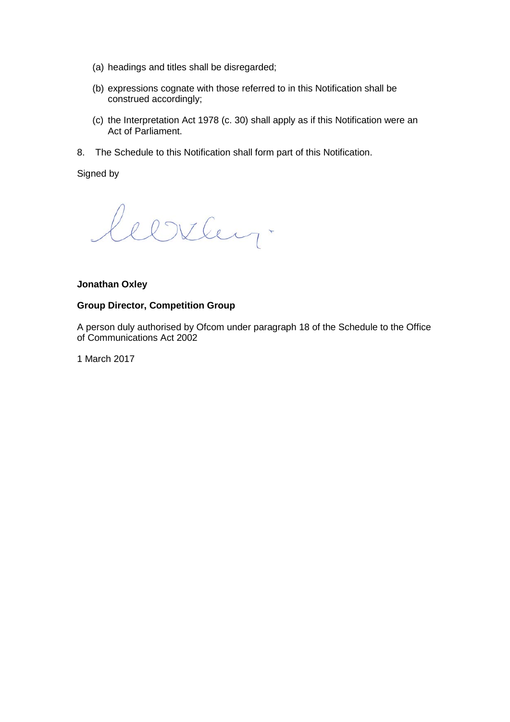- (a) headings and titles shall be disregarded;
- (b) expressions cognate with those referred to in this Notification shall be construed accordingly;
- (c) the Interpretation Act 1978 (c. 30) shall apply as if this Notification were an Act of Parliament.
- 8. The Schedule to this Notification shall form part of this Notification.

Signed by

leerley.

#### **Jonathan Oxley**

#### **Group Director, Competition Group**

A person duly authorised by Ofcom under paragraph 18 of the Schedule to the Office of Communications Act 2002

1 March 2017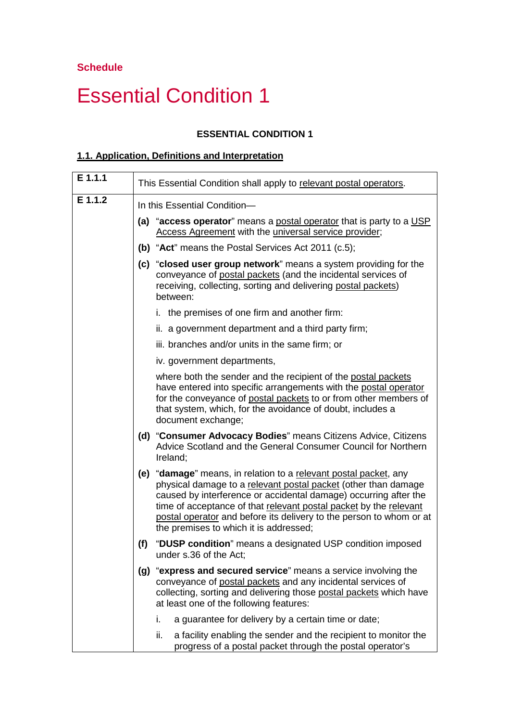# Essential Condition 1

#### **ESSENTIAL CONDITION 1**

#### **1.1. Application, Definitions and Interpretation**

| $E$ 1.1.1 | This Essential Condition shall apply to relevant postal operators.                                                                                                                                                                                                                                                                                                                           |
|-----------|----------------------------------------------------------------------------------------------------------------------------------------------------------------------------------------------------------------------------------------------------------------------------------------------------------------------------------------------------------------------------------------------|
| E 1.1.2   | In this Essential Condition-                                                                                                                                                                                                                                                                                                                                                                 |
|           | (a) "access operator" means a postal operator that is party to a USP<br>Access Agreement with the universal service provider;                                                                                                                                                                                                                                                                |
|           | (b) "Act" means the Postal Services Act 2011 (c.5);                                                                                                                                                                                                                                                                                                                                          |
|           | (c) "closed user group network" means a system providing for the<br>conveyance of postal packets (and the incidental services of<br>receiving, collecting, sorting and delivering postal packets)<br>between:                                                                                                                                                                                |
|           | i. the premises of one firm and another firm:                                                                                                                                                                                                                                                                                                                                                |
|           | ii. a government department and a third party firm;                                                                                                                                                                                                                                                                                                                                          |
|           | iii. branches and/or units in the same firm; or                                                                                                                                                                                                                                                                                                                                              |
|           | iv. government departments,                                                                                                                                                                                                                                                                                                                                                                  |
|           | where both the sender and the recipient of the postal packets<br>have entered into specific arrangements with the postal operator<br>for the conveyance of postal packets to or from other members of<br>that system, which, for the avoidance of doubt, includes a<br>document exchange;                                                                                                    |
|           | (d) "Consumer Advocacy Bodies" means Citizens Advice, Citizens<br>Advice Scotland and the General Consumer Council for Northern<br>Ireland;                                                                                                                                                                                                                                                  |
|           | (e) "damage" means, in relation to a relevant postal packet, any<br>physical damage to a relevant postal packet (other than damage<br>caused by interference or accidental damage) occurring after the<br>time of acceptance of that relevant postal packet by the relevant<br>postal operator and before its delivery to the person to whom or at<br>the premises to which it is addressed; |
|           | "DUSP condition" means a designated USP condition imposed<br>(f)<br>under s.36 of the Act;                                                                                                                                                                                                                                                                                                   |
|           | (g) "express and secured service" means a service involving the<br>conveyance of postal packets and any incidental services of<br>collecting, sorting and delivering those postal packets which have<br>at least one of the following features:                                                                                                                                              |
|           | i.<br>a guarantee for delivery by a certain time or date;                                                                                                                                                                                                                                                                                                                                    |
|           | ii.<br>a facility enabling the sender and the recipient to monitor the<br>progress of a postal packet through the postal operator's                                                                                                                                                                                                                                                          |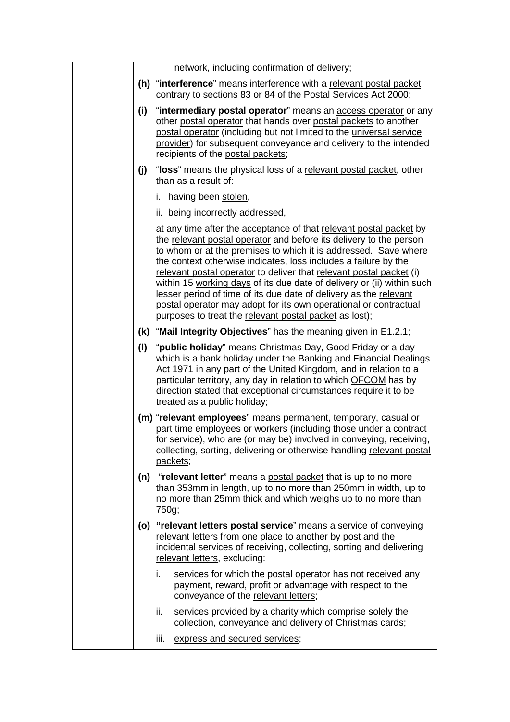| network, including confirmation of delivery;<br>(h) "interference" means interference with a relevant postal packet<br>contrary to sections 83 or 84 of the Postal Services Act 2000;                                                                                                                                                                                                                                                                                                                                                                                                                                              |  |
|------------------------------------------------------------------------------------------------------------------------------------------------------------------------------------------------------------------------------------------------------------------------------------------------------------------------------------------------------------------------------------------------------------------------------------------------------------------------------------------------------------------------------------------------------------------------------------------------------------------------------------|--|
|                                                                                                                                                                                                                                                                                                                                                                                                                                                                                                                                                                                                                                    |  |
|                                                                                                                                                                                                                                                                                                                                                                                                                                                                                                                                                                                                                                    |  |
| (i)<br>"intermediary postal operator" means an <b>access operator</b> or any<br>other postal operator that hands over postal packets to another<br>postal operator (including but not limited to the <i>universal service</i><br>provider) for subsequent conveyance and delivery to the intended<br>recipients of the postal packets;                                                                                                                                                                                                                                                                                             |  |
| "loss" means the physical loss of a relevant postal packet, other<br>(j)<br>than as a result of:                                                                                                                                                                                                                                                                                                                                                                                                                                                                                                                                   |  |
| i. having been stolen,                                                                                                                                                                                                                                                                                                                                                                                                                                                                                                                                                                                                             |  |
| ii. being incorrectly addressed,                                                                                                                                                                                                                                                                                                                                                                                                                                                                                                                                                                                                   |  |
| at any time after the acceptance of that relevant postal packet by<br>the relevant postal operator and before its delivery to the person<br>to whom or at the premises to which it is addressed. Save where<br>the context otherwise indicates, loss includes a failure by the<br>relevant postal operator to deliver that relevant postal packet (i)<br>within 15 working days of its due date of delivery or (ii) within such<br>lesser period of time of its due date of delivery as the relevant<br>postal operator may adopt for its own operational or contractual<br>purposes to treat the relevant postal packet as lost); |  |
| (k) "Mail Integrity Objectives" has the meaning given in E1.2.1;                                                                                                                                                                                                                                                                                                                                                                                                                                                                                                                                                                   |  |
| (1)<br>" <b>public holiday</b> " means Christmas Day, Good Friday or a day<br>which is a bank holiday under the Banking and Financial Dealings<br>Act 1971 in any part of the United Kingdom, and in relation to a<br>particular territory, any day in relation to which OFCOM has by<br>direction stated that exceptional circumstances require it to be<br>treated as a public holiday;                                                                                                                                                                                                                                          |  |
| (m) "relevant employees" means permanent, temporary, casual or<br>part time employees or workers (including those under a contract<br>for service), who are (or may be) involved in conveying, receiving,<br>collecting, sorting, delivering or otherwise handling relevant postal<br>packets;                                                                                                                                                                                                                                                                                                                                     |  |
| (n) "relevant letter" means a postal packet that is up to no more<br>than 353mm in length, up to no more than 250mm in width, up to<br>no more than 25mm thick and which weighs up to no more than<br>750g;                                                                                                                                                                                                                                                                                                                                                                                                                        |  |
| (o) "relevant letters postal service" means a service of conveying<br>relevant letters from one place to another by post and the<br>incidental services of receiving, collecting, sorting and delivering<br>relevant letters, excluding:                                                                                                                                                                                                                                                                                                                                                                                           |  |
| i.<br>services for which the postal operator has not received any<br>payment, reward, profit or advantage with respect to the                                                                                                                                                                                                                                                                                                                                                                                                                                                                                                      |  |
| conveyance of the relevant letters;                                                                                                                                                                                                                                                                                                                                                                                                                                                                                                                                                                                                |  |
| ii.<br>services provided by a charity which comprise solely the<br>collection, conveyance and delivery of Christmas cards;                                                                                                                                                                                                                                                                                                                                                                                                                                                                                                         |  |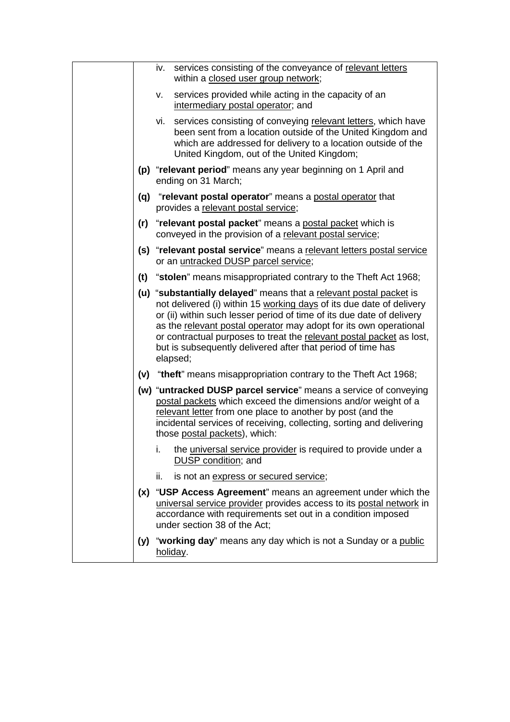|     | services consisting of the conveyance of relevant letters<br>iv.<br>within a closed user group network;                                                                                                                                                                                                                                                                                                                                     |
|-----|---------------------------------------------------------------------------------------------------------------------------------------------------------------------------------------------------------------------------------------------------------------------------------------------------------------------------------------------------------------------------------------------------------------------------------------------|
|     | services provided while acting in the capacity of an<br>۷.<br>intermediary postal operator; and                                                                                                                                                                                                                                                                                                                                             |
|     | services consisting of conveying relevant letters, which have<br>vi.<br>been sent from a location outside of the United Kingdom and<br>which are addressed for delivery to a location outside of the<br>United Kingdom, out of the United Kingdom;                                                                                                                                                                                          |
|     | (p) "relevant period" means any year beginning on 1 April and<br>ending on 31 March;                                                                                                                                                                                                                                                                                                                                                        |
|     | (q) "relevant postal operator" means a postal operator that<br>provides a relevant postal service;                                                                                                                                                                                                                                                                                                                                          |
|     | (r) "relevant postal packet" means a postal packet which is<br>conveyed in the provision of a relevant postal service;                                                                                                                                                                                                                                                                                                                      |
|     | (s) "relevant postal service" means a relevant letters postal service<br>or an untracked DUSP parcel service;                                                                                                                                                                                                                                                                                                                               |
|     | (t) "stolen" means misappropriated contrary to the Theft Act 1968;                                                                                                                                                                                                                                                                                                                                                                          |
|     | (u) "substantially delayed" means that a relevant postal packet is<br>not delivered (i) within 15 working days of its due date of delivery<br>or (ii) within such lesser period of time of its due date of delivery<br>as the relevant postal operator may adopt for its own operational<br>or contractual purposes to treat the relevant postal packet as lost,<br>but is subsequently delivered after that period of time has<br>elapsed; |
|     | (v) "theft" means misappropriation contrary to the Theft Act 1968;                                                                                                                                                                                                                                                                                                                                                                          |
|     | (w) "untracked DUSP parcel service" means a service of conveying<br>postal packets which exceed the dimensions and/or weight of a<br>relevant letter from one place to another by post (and the<br>incidental services of receiving, collecting, sorting and delivering<br>those postal packets), which:                                                                                                                                    |
|     | the universal service provider is required to provide under a<br>i.<br>DUSP condition; and                                                                                                                                                                                                                                                                                                                                                  |
|     | ii.<br>is not an express or secured service;                                                                                                                                                                                                                                                                                                                                                                                                |
| (x) | "USP Access Agreement" means an agreement under which the<br>universal service provider provides access to its postal network in<br>accordance with requirements set out in a condition imposed<br>under section 38 of the Act;                                                                                                                                                                                                             |
|     | (y) "working day" means any day which is not a Sunday or a public<br>holiday.                                                                                                                                                                                                                                                                                                                                                               |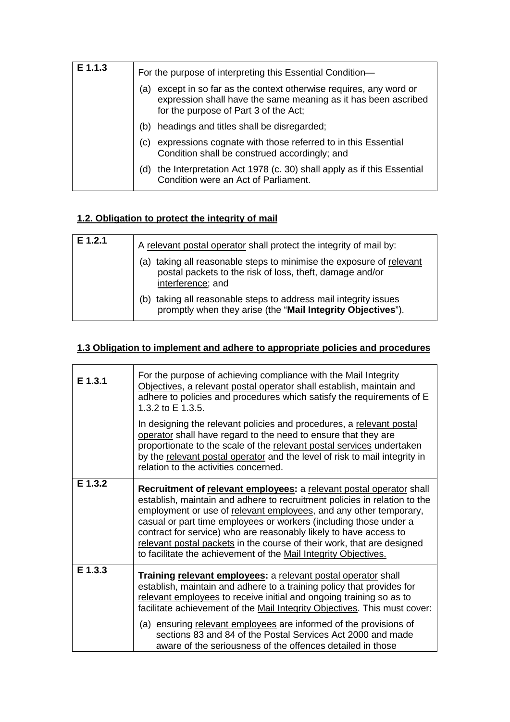| E 1.1.3 | For the purpose of interpreting this Essential Condition-                                                                                                                         |
|---------|-----------------------------------------------------------------------------------------------------------------------------------------------------------------------------------|
|         | except in so far as the context otherwise requires, any word or<br>(a)<br>expression shall have the same meaning as it has been ascribed<br>for the purpose of Part 3 of the Act; |
|         | headings and titles shall be disregarded;<br>(b)                                                                                                                                  |
|         | expressions cognate with those referred to in this Essential<br>(C)<br>Condition shall be construed accordingly; and                                                              |
|         | the Interpretation Act 1978 (c. 30) shall apply as if this Essential<br>(d)<br>Condition were an Act of Parliament.                                                               |
|         |                                                                                                                                                                                   |

### **1.2. Obligation to protect the integrity of mail**

| $E$ 1.2.1 | A relevant postal operator shall protect the integrity of mail by:                                                                                       |
|-----------|----------------------------------------------------------------------------------------------------------------------------------------------------------|
|           | taking all reasonable steps to minimise the exposure of relevant<br>(a)<br>postal packets to the risk of loss, theft, damage and/or<br>interference; and |
|           | taking all reasonable steps to address mail integrity issues<br>promptly when they arise (the "Mail Integrity Objectives").                              |

## **1.3 Obligation to implement and adhere to appropriate policies and procedures**

| $E$ 1.3.1 | For the purpose of achieving compliance with the Mail Integrity<br>Objectives, a relevant postal operator shall establish, maintain and<br>adhere to policies and procedures which satisfy the requirements of E<br>1.3.2 to E 1.3.5.                                                                                                                                                                                                                                                                        |
|-----------|--------------------------------------------------------------------------------------------------------------------------------------------------------------------------------------------------------------------------------------------------------------------------------------------------------------------------------------------------------------------------------------------------------------------------------------------------------------------------------------------------------------|
|           | In designing the relevant policies and procedures, a relevant postal<br>operator shall have regard to the need to ensure that they are<br>proportionate to the scale of the relevant postal services undertaken<br>by the relevant postal operator and the level of risk to mail integrity in<br>relation to the activities concerned.                                                                                                                                                                       |
| E 1.3.2   | Recruitment of relevant employees: a relevant postal operator shall<br>establish, maintain and adhere to recruitment policies in relation to the<br>employment or use of relevant employees, and any other temporary,<br>casual or part time employees or workers (including those under a<br>contract for service) who are reasonably likely to have access to<br>relevant postal packets in the course of their work, that are designed<br>to facilitate the achievement of the Mail Integrity Objectives. |
| $E$ 1.3.3 | Training relevant employees: a relevant postal operator shall<br>establish, maintain and adhere to a training policy that provides for<br>relevant employees to receive initial and ongoing training so as to<br>facilitate achievement of the Mail Integrity Objectives. This must cover:                                                                                                                                                                                                                   |
|           | (a) ensuring relevant employees are informed of the provisions of<br>sections 83 and 84 of the Postal Services Act 2000 and made<br>aware of the seriousness of the offences detailed in those                                                                                                                                                                                                                                                                                                               |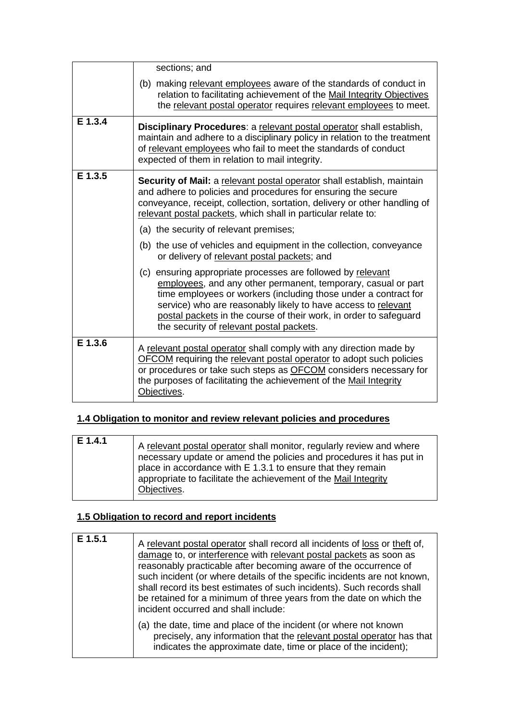|         | sections; and                                                                                                                                                                                                                                                                                                                                                                     |
|---------|-----------------------------------------------------------------------------------------------------------------------------------------------------------------------------------------------------------------------------------------------------------------------------------------------------------------------------------------------------------------------------------|
|         | (b) making relevant employees aware of the standards of conduct in<br>relation to facilitating achievement of the Mail Integrity Objectives<br>the relevant postal operator requires relevant employees to meet.                                                                                                                                                                  |
| E 1.3.4 | Disciplinary Procedures: a relevant postal operator shall establish,<br>maintain and adhere to a disciplinary policy in relation to the treatment<br>of relevant employees who fail to meet the standards of conduct<br>expected of them in relation to mail integrity.                                                                                                           |
| E 1.3.5 | Security of Mail: a relevant postal operator shall establish, maintain<br>and adhere to policies and procedures for ensuring the secure<br>conveyance, receipt, collection, sortation, delivery or other handling of<br>relevant postal packets, which shall in particular relate to:                                                                                             |
|         | (a) the security of relevant premises;                                                                                                                                                                                                                                                                                                                                            |
|         | (b) the use of vehicles and equipment in the collection, conveyance<br>or delivery of relevant postal packets; and                                                                                                                                                                                                                                                                |
|         | (c) ensuring appropriate processes are followed by relevant<br>employees, and any other permanent, temporary, casual or part<br>time employees or workers (including those under a contract for<br>service) who are reasonably likely to have access to relevant<br>postal packets in the course of their work, in order to safeguard<br>the security of relevant postal packets. |
| E 1.3.6 | A relevant postal operator shall comply with any direction made by<br><b>OFCOM</b> requiring the relevant postal operator to adopt such policies<br>or procedures or take such steps as <b>OFCOM</b> considers necessary for<br>the purposes of facilitating the achievement of the Mail Integrity<br>Objectives.                                                                 |

### **1.4 Obligation to monitor and review relevant policies and procedures**

| E 1.4.1 | A relevant postal operator shall monitor, regularly review and where<br>necessary update or amend the policies and procedures it has put in<br>place in accordance with E 1.3.1 to ensure that they remain<br>appropriate to facilitate the achievement of the Mail Integrity<br>Objectives. |
|---------|----------------------------------------------------------------------------------------------------------------------------------------------------------------------------------------------------------------------------------------------------------------------------------------------|
|---------|----------------------------------------------------------------------------------------------------------------------------------------------------------------------------------------------------------------------------------------------------------------------------------------------|

## **1.5 Obligation to record and report incidents**

| E 1.5.1 | A relevant postal operator shall record all incidents of loss or theft of,<br>damage to, or interference with relevant postal packets as soon as<br>reasonably practicable after becoming aware of the occurrence of<br>such incident (or where details of the specific incidents are not known,<br>shall record its best estimates of such incidents). Such records shall<br>be retained for a minimum of three years from the date on which the<br>incident occurred and shall include: |
|---------|-------------------------------------------------------------------------------------------------------------------------------------------------------------------------------------------------------------------------------------------------------------------------------------------------------------------------------------------------------------------------------------------------------------------------------------------------------------------------------------------|
|         | (a) the date, time and place of the incident (or where not known<br>precisely, any information that the relevant postal operator has that<br>indicates the approximate date, time or place of the incident);                                                                                                                                                                                                                                                                              |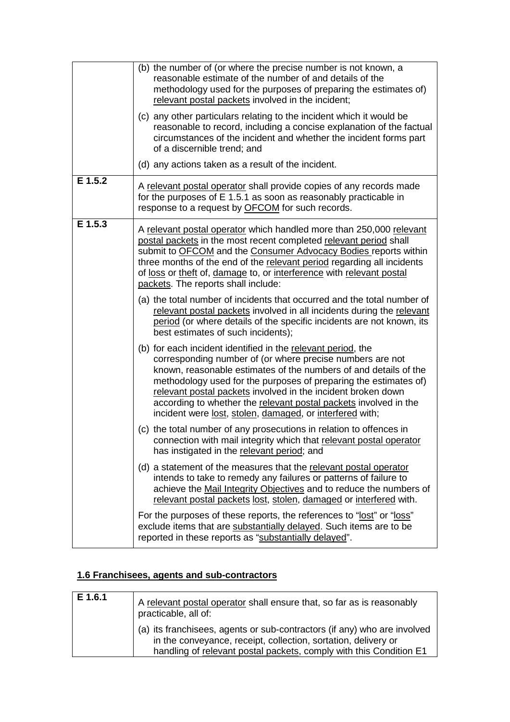|           | (b) the number of (or where the precise number is not known, a<br>reasonable estimate of the number of and details of the<br>methodology used for the purposes of preparing the estimates of)<br>relevant postal packets involved in the incident;<br>(c) any other particulars relating to the incident which it would be<br>reasonable to record, including a concise explanation of the factual<br>circumstances of the incident and whether the incident forms part<br>of a discernible trend; and<br>(d) any actions taken as a result of the incident. |
|-----------|--------------------------------------------------------------------------------------------------------------------------------------------------------------------------------------------------------------------------------------------------------------------------------------------------------------------------------------------------------------------------------------------------------------------------------------------------------------------------------------------------------------------------------------------------------------|
| $E$ 1.5.2 | A relevant postal operator shall provide copies of any records made<br>for the purposes of E 1.5.1 as soon as reasonably practicable in<br>response to a request by <b>OFCOM</b> for such records.                                                                                                                                                                                                                                                                                                                                                           |
| E 1.5.3   | A relevant postal operator which handled more than 250,000 relevant<br>postal packets in the most recent completed relevant period shall<br>submit to OFCOM and the Consumer Advocacy Bodies reports within<br>three months of the end of the relevant period regarding all incidents<br>of loss or theft of, damage to, or interference with relevant postal<br>packets. The reports shall include:                                                                                                                                                         |
|           | (a) the total number of incidents that occurred and the total number of<br>relevant postal packets involved in all incidents during the relevant<br>period (or where details of the specific incidents are not known, its<br>best estimates of such incidents);                                                                                                                                                                                                                                                                                              |
|           | (b) for each incident identified in the relevant period, the<br>corresponding number of (or where precise numbers are not<br>known, reasonable estimates of the numbers of and details of the<br>methodology used for the purposes of preparing the estimates of)<br>relevant postal packets involved in the incident broken down<br>according to whether the relevant postal packets involved in the<br>incident were lost, stolen, damaged, or interfered with;                                                                                            |
|           | (c) the total number of any prosecutions in relation to offences in<br>connection with mail integrity which that relevant postal operator<br>has instigated in the relevant period; and                                                                                                                                                                                                                                                                                                                                                                      |
|           | (d) a statement of the measures that the relevant postal operator<br>intends to take to remedy any failures or patterns of failure to<br>achieve the Mail Integrity Objectives and to reduce the numbers of<br>relevant postal packets lost, stolen, damaged or interfered with.                                                                                                                                                                                                                                                                             |
|           | For the purposes of these reports, the references to "lost" or "loss"<br>exclude items that are substantially delayed. Such items are to be<br>reported in these reports as "substantially delayed".                                                                                                                                                                                                                                                                                                                                                         |

## **1.6 Franchisees, agents and sub-contractors**

| E 1.6.1 | A relevant postal operator shall ensure that, so far as is reasonably<br>practicable, all of:                                                                                                                    |
|---------|------------------------------------------------------------------------------------------------------------------------------------------------------------------------------------------------------------------|
|         | (a) its franchisees, agents or sub-contractors (if any) who are involved<br>in the conveyance, receipt, collection, sortation, delivery or<br>handling of relevant postal packets, comply with this Condition E1 |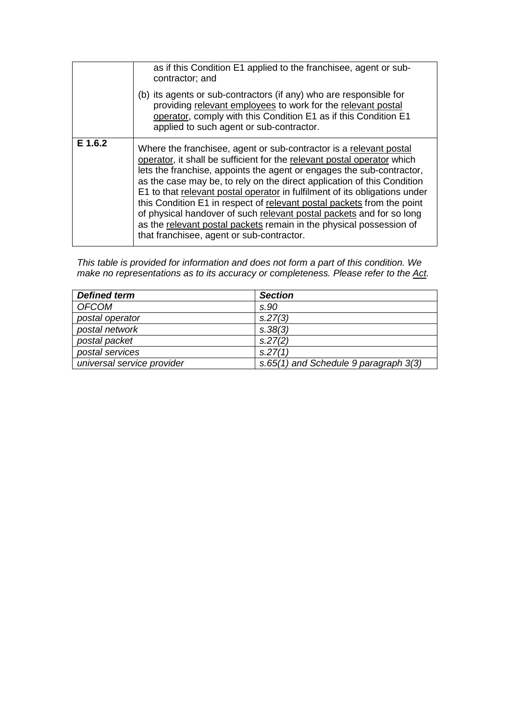|         | as if this Condition E1 applied to the franchisee, agent or sub-<br>contractor; and                                                                                                                                                                                                                                                                                                                                                                                                                                                                                                                                                                   |
|---------|-------------------------------------------------------------------------------------------------------------------------------------------------------------------------------------------------------------------------------------------------------------------------------------------------------------------------------------------------------------------------------------------------------------------------------------------------------------------------------------------------------------------------------------------------------------------------------------------------------------------------------------------------------|
|         | (b) its agents or sub-contractors (if any) who are responsible for<br>providing relevant employees to work for the relevant postal<br>operator, comply with this Condition E1 as if this Condition E1<br>applied to such agent or sub-contractor.                                                                                                                                                                                                                                                                                                                                                                                                     |
| E 1.6.2 | Where the franchisee, agent or sub-contractor is a relevant postal<br>operator, it shall be sufficient for the relevant postal operator which<br>lets the franchise, appoints the agent or engages the sub-contractor,<br>as the case may be, to rely on the direct application of this Condition<br>E1 to that relevant postal operator in fulfilment of its obligations under<br>this Condition E1 in respect of relevant postal packets from the point<br>of physical handover of such relevant postal packets and for so long<br>as the relevant postal packets remain in the physical possession of<br>that franchisee, agent or sub-contractor. |

*This table is provided for information and does not form a part of this condition. We make no representations as to its accuracy or completeness. Please refer to the Act.*

| <b>Defined term</b>        | <b>Section</b>                        |
|----------------------------|---------------------------------------|
| <b>OFCOM</b>               | s.90                                  |
| postal operator            | S.27(3)                               |
| postal network             | S.38(3)                               |
| postal packet              | S.27(2)                               |
| postal services            | S.27(1)                               |
| universal service provider | s.65(1) and Schedule 9 paragraph 3(3) |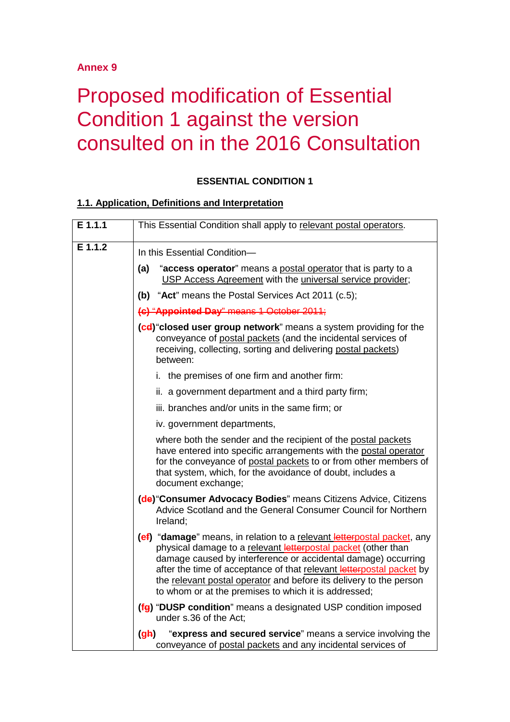### **Annex 9**

## Proposed modification of Essential Condition 1 against the version consulted on in the 2016 Consultation

#### **ESSENTIAL CONDITION 1**

#### **1.1. Application, Definitions and Interpretation**

| E 1.1.1 | This Essential Condition shall apply to relevant postal operators.                                                                                                                                                                                                                                                                                                                                              |
|---------|-----------------------------------------------------------------------------------------------------------------------------------------------------------------------------------------------------------------------------------------------------------------------------------------------------------------------------------------------------------------------------------------------------------------|
| E 1.1.2 | In this Essential Condition-                                                                                                                                                                                                                                                                                                                                                                                    |
|         | (a)<br>"access operator" means a postal operator that is party to a<br>USP Access Agreement with the universal service provider;                                                                                                                                                                                                                                                                                |
|         | (b) "Act" means the Postal Services Act 2011 (c.5);                                                                                                                                                                                                                                                                                                                                                             |
|         | (c) "Appointed Day" means 1 October 2011;                                                                                                                                                                                                                                                                                                                                                                       |
|         | (cd) closed user group network" means a system providing for the<br>conveyance of postal packets (and the incidental services of<br>receiving, collecting, sorting and delivering postal packets)<br>between:                                                                                                                                                                                                   |
|         | i. the premises of one firm and another firm:                                                                                                                                                                                                                                                                                                                                                                   |
|         | ii. a government department and a third party firm;                                                                                                                                                                                                                                                                                                                                                             |
|         | iii. branches and/or units in the same firm; or                                                                                                                                                                                                                                                                                                                                                                 |
|         | iv. government departments,                                                                                                                                                                                                                                                                                                                                                                                     |
|         | where both the sender and the recipient of the postal packets<br>have entered into specific arrangements with the postal operator<br>for the conveyance of postal packets to or from other members of<br>that system, which, for the avoidance of doubt, includes a<br>document exchange;                                                                                                                       |
|         | (de) "Consumer Advocacy Bodies" means Citizens Advice, Citizens<br>Advice Scotland and the General Consumer Council for Northern<br>Ireland;                                                                                                                                                                                                                                                                    |
|         | (ef) "damage" means, in relation to a relevant letterpostal packet, any<br>physical damage to a relevant letterpostal packet (other than<br>damage caused by interference or accidental damage) occurring<br>after the time of acceptance of that relevant letterpostal packet by<br>the relevant postal operator and before its delivery to the person<br>to whom or at the premises to which it is addressed; |
|         | (fg) "DUSP condition" means a designated USP condition imposed<br>under s.36 of the Act;                                                                                                                                                                                                                                                                                                                        |
|         | "express and secured service" means a service involving the<br>(gh)<br>conveyance of postal packets and any incidental services of                                                                                                                                                                                                                                                                              |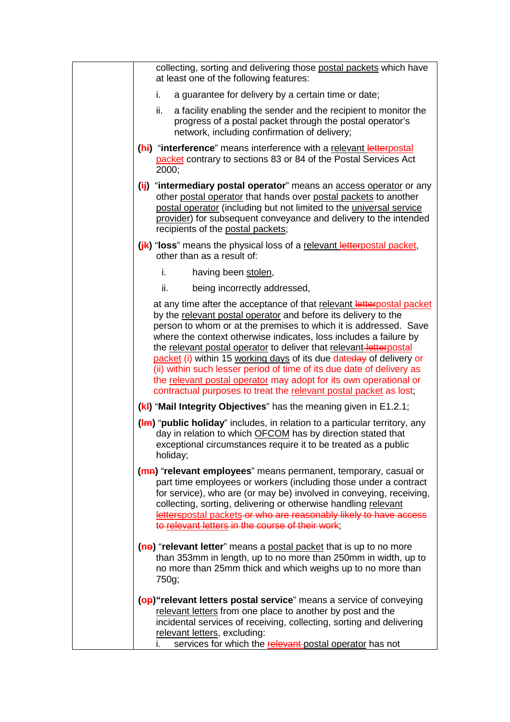| collecting, sorting and delivering those postal packets which have<br>at least one of the following features:                                                                                                                                                                                                                                                                                                                                                                                                                                                                                                                                    |
|--------------------------------------------------------------------------------------------------------------------------------------------------------------------------------------------------------------------------------------------------------------------------------------------------------------------------------------------------------------------------------------------------------------------------------------------------------------------------------------------------------------------------------------------------------------------------------------------------------------------------------------------------|
| a guarantee for delivery by a certain time or date;<br>i.                                                                                                                                                                                                                                                                                                                                                                                                                                                                                                                                                                                        |
| ii.<br>a facility enabling the sender and the recipient to monitor the<br>progress of a postal packet through the postal operator's<br>network, including confirmation of delivery;                                                                                                                                                                                                                                                                                                                                                                                                                                                              |
| (hi) "interference" means interference with a relevant letterpostal<br>packet contrary to sections 83 or 84 of the Postal Services Act<br>2000;                                                                                                                                                                                                                                                                                                                                                                                                                                                                                                  |
| (ii) "intermediary postal operator" means an access operator or any<br>other postal operator that hands over postal packets to another<br>postal operator (including but not limited to the universal service<br>provider) for subsequent conveyance and delivery to the intended<br>recipients of the postal packets;                                                                                                                                                                                                                                                                                                                           |
| (ik) "loss" means the physical loss of a relevant letterpostal packet,<br>other than as a result of:                                                                                                                                                                                                                                                                                                                                                                                                                                                                                                                                             |
| i.<br>having been stolen,                                                                                                                                                                                                                                                                                                                                                                                                                                                                                                                                                                                                                        |
| ii.<br>being incorrectly addressed,                                                                                                                                                                                                                                                                                                                                                                                                                                                                                                                                                                                                              |
| at any time after the acceptance of that relevant letterpostal packet<br>by the relevant postal operator and before its delivery to the<br>person to whom or at the premises to which it is addressed. Save<br>where the context otherwise indicates, loss includes a failure by<br>the relevant postal operator to deliver that relevant-letterpostal<br>packet (i) within 15 working days of its due dateday of delivery or<br>(ii) within such lesser period of time of its due date of delivery as<br>the relevant postal operator may adopt for its own operational or<br>contractual purposes to treat the relevant postal packet as lost; |
| (k) "Mail Integrity Objectives" has the meaning given in E1.2.1;                                                                                                                                                                                                                                                                                                                                                                                                                                                                                                                                                                                 |
| (Im) "public holiday" includes, in relation to a particular territory, any<br>day in relation to which OFCOM has by direction stated that<br>exceptional circumstances require it to be treated as a public<br>holiday;                                                                                                                                                                                                                                                                                                                                                                                                                          |
| (ma) "relevant employees" means permanent, temporary, casual or<br>part time employees or workers (including those under a contract<br>for service), who are (or may be) involved in conveying, receiving,<br>collecting, sorting, delivering or otherwise handling relevant<br>letterspostal packets or who are reasonably likely to have access<br>to relevant letters in the course of their work;                                                                                                                                                                                                                                            |
| (ne) "relevant letter" means a postal packet that is up to no more<br>than 353mm in length, up to no more than 250mm in width, up to<br>no more than 25mm thick and which weighs up to no more than<br>750g;                                                                                                                                                                                                                                                                                                                                                                                                                                     |
| (op) "relevant letters postal service" means a service of conveying<br>relevant letters from one place to another by post and the<br>incidental services of receiving, collecting, sorting and delivering<br>relevant letters, excluding:<br>services for which the relevant postal operator has not                                                                                                                                                                                                                                                                                                                                             |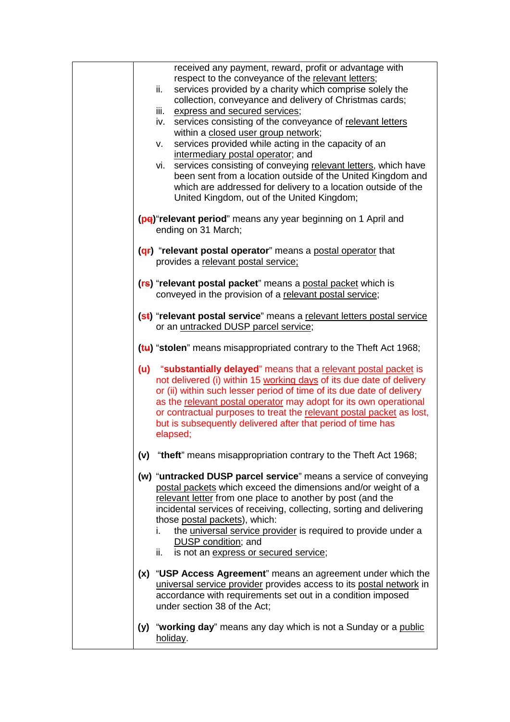| received any payment, reward, profit or advantage with<br>respect to the conveyance of the relevant letters;<br>ii.<br>services provided by a charity which comprise solely the<br>collection, conveyance and delivery of Christmas cards;<br>iii.<br>express and secured services;<br>services consisting of the conveyance of relevant letters<br>iv.<br>within a closed user group network;<br>services provided while acting in the capacity of an<br>v.<br>intermediary postal operator; and<br>vi. services consisting of conveying relevant letters, which have<br>been sent from a location outside of the United Kingdom and<br>which are addressed for delivery to a location outside of the<br>United Kingdom, out of the United Kingdom; |
|------------------------------------------------------------------------------------------------------------------------------------------------------------------------------------------------------------------------------------------------------------------------------------------------------------------------------------------------------------------------------------------------------------------------------------------------------------------------------------------------------------------------------------------------------------------------------------------------------------------------------------------------------------------------------------------------------------------------------------------------------|
| (pe) "relevant period" means any year beginning on 1 April and<br>ending on 31 March;                                                                                                                                                                                                                                                                                                                                                                                                                                                                                                                                                                                                                                                                |
| (qr) "relevant postal operator" means a postal operator that<br>provides a relevant postal service:                                                                                                                                                                                                                                                                                                                                                                                                                                                                                                                                                                                                                                                  |
| (rs) "relevant postal packet" means a postal packet which is<br>conveyed in the provision of a relevant postal service;                                                                                                                                                                                                                                                                                                                                                                                                                                                                                                                                                                                                                              |
| (st) "relevant postal service" means a relevant letters postal service<br>or an untracked DUSP parcel service;                                                                                                                                                                                                                                                                                                                                                                                                                                                                                                                                                                                                                                       |
| (tu) "stolen" means misappropriated contrary to the Theft Act 1968;                                                                                                                                                                                                                                                                                                                                                                                                                                                                                                                                                                                                                                                                                  |
| (u) "substantially delayed" means that a relevant postal packet is<br>not delivered (i) within 15 working days of its due date of delivery<br>or (ii) within such lesser period of time of its due date of delivery<br>as the relevant postal operator may adopt for its own operational<br>or contractual purposes to treat the relevant postal packet as lost,<br>but is subsequently delivered after that period of time has<br>elapsed;                                                                                                                                                                                                                                                                                                          |
| (v) "theft" means misappropriation contrary to the Theft Act 1968;                                                                                                                                                                                                                                                                                                                                                                                                                                                                                                                                                                                                                                                                                   |
| (w) "untracked DUSP parcel service" means a service of conveying<br>postal packets which exceed the dimensions and/or weight of a<br>relevant letter from one place to another by post (and the<br>incidental services of receiving, collecting, sorting and delivering<br>those postal packets), which:<br>the universal service provider is required to provide under a<br>i.<br>DUSP condition; and<br>is not an express or secured service;<br>ii.                                                                                                                                                                                                                                                                                               |
| (x) "USP Access Agreement" means an agreement under which the<br>universal service provider provides access to its postal network in<br>accordance with requirements set out in a condition imposed<br>under section 38 of the Act;                                                                                                                                                                                                                                                                                                                                                                                                                                                                                                                  |
| (y) "working day" means any day which is not a Sunday or a public<br>holiday.                                                                                                                                                                                                                                                                                                                                                                                                                                                                                                                                                                                                                                                                        |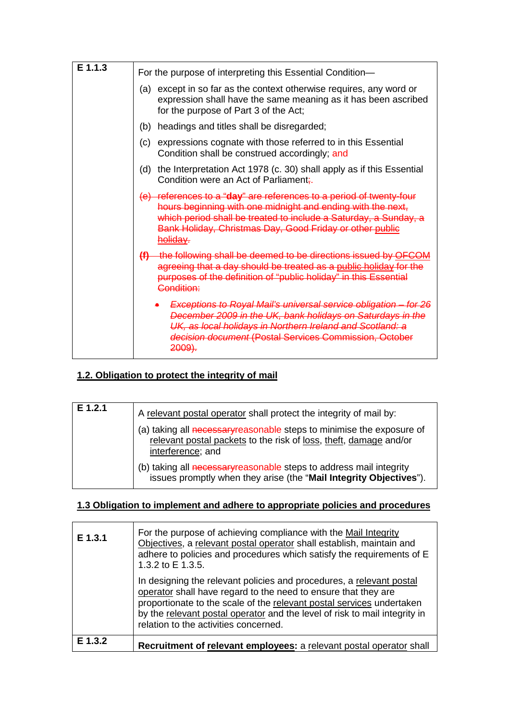| E 1.1.3 | For the purpose of interpreting this Essential Condition-                                                                                                                                                                                                                      |
|---------|--------------------------------------------------------------------------------------------------------------------------------------------------------------------------------------------------------------------------------------------------------------------------------|
|         | except in so far as the context otherwise requires, any word or<br>(a)<br>expression shall have the same meaning as it has been ascribed<br>for the purpose of Part 3 of the Act;                                                                                              |
|         | headings and titles shall be disregarded;<br>(b)                                                                                                                                                                                                                               |
|         | expressions cognate with those referred to in this Essential<br>(c)<br>Condition shall be construed accordingly; and                                                                                                                                                           |
|         | the Interpretation Act 1978 (c. 30) shall apply as if this Essential<br>(d)<br>Condition were an Act of Parliament;                                                                                                                                                            |
|         | (e) references to a "day" are references to a period of twenty-four<br>hours beginning with one midnight and ending with the next,<br>which period shall be treated to include a Saturday, a Sunday, a<br>Bank Holiday, Christmas Day, Good Friday or other public<br>holiday. |
|         | (f) the following shall be deemed to be directions issued by OFCOM<br>agreeing that a day should be treated as a public holiday for the<br>purposes of the definition of "public holiday" in this Essential<br>Condition:                                                      |
|         | Exceptions to Royal Mail's universal service obligation - for 26<br>December 2009 in the UK, bank holidays on Saturdays in the<br>UK, as local holidays in Northern Ireland and Scotland: a<br>decision document (Postal Services Commission, October<br><del>2009).</del>     |

## **1.2. Obligation to protect the integrity of mail**

| E 1.2.1 | A relevant postal operator shall protect the integrity of mail by:<br>(a) taking all necessary reasonable steps to minimise the exposure of<br>relevant postal packets to the risk of loss, theft, damage and/or |
|---------|------------------------------------------------------------------------------------------------------------------------------------------------------------------------------------------------------------------|
|         | interference; and<br>(b) taking all necessary reasonable steps to address mail integrity<br>issues promptly when they arise (the "Mail Integrity Objectives").                                                   |

## **1.3 Obligation to implement and adhere to appropriate policies and procedures**

| E 1.3.1 | For the purpose of achieving compliance with the Mail Integrity<br>Objectives, a relevant postal operator shall establish, maintain and<br>adhere to policies and procedures which satisfy the requirements of E<br>1.3.2 to E 1.3.5.                                                                                                  |
|---------|----------------------------------------------------------------------------------------------------------------------------------------------------------------------------------------------------------------------------------------------------------------------------------------------------------------------------------------|
|         | In designing the relevant policies and procedures, a relevant postal<br>operator shall have regard to the need to ensure that they are<br>proportionate to the scale of the relevant postal services undertaken<br>by the relevant postal operator and the level of risk to mail integrity in<br>relation to the activities concerned. |
| F 1.3.2 | Recruitment of relevant employees: a relevant postal operator shall                                                                                                                                                                                                                                                                    |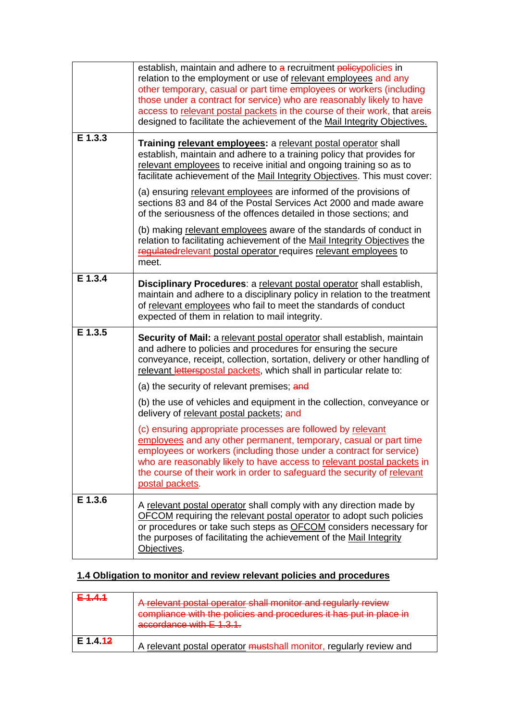|           | establish, maintain and adhere to a recruitment policypolicies in<br>relation to the employment or use of relevant employees and any<br>other temporary, casual or part time employees or workers (including<br>those under a contract for service) who are reasonably likely to have<br>access to relevant postal packets in the course of their work, that areis<br>designed to facilitate the achievement of the Mail Integrity Objectives. |
|-----------|------------------------------------------------------------------------------------------------------------------------------------------------------------------------------------------------------------------------------------------------------------------------------------------------------------------------------------------------------------------------------------------------------------------------------------------------|
| E 1.3.3   | Training relevant employees: a relevant postal operator shall<br>establish, maintain and adhere to a training policy that provides for<br>relevant employees to receive initial and ongoing training so as to<br>facilitate achievement of the Mail Integrity Objectives. This must cover:                                                                                                                                                     |
|           | (a) ensuring relevant employees are informed of the provisions of<br>sections 83 and 84 of the Postal Services Act 2000 and made aware<br>of the seriousness of the offences detailed in those sections; and                                                                                                                                                                                                                                   |
|           | (b) making relevant employees aware of the standards of conduct in<br>relation to facilitating achievement of the Mail Integrity Objectives the<br>regulated relevant postal operator requires relevant employees to<br>meet.                                                                                                                                                                                                                  |
| $E$ 1.3.4 | Disciplinary Procedures: a relevant postal operator shall establish,<br>maintain and adhere to a disciplinary policy in relation to the treatment<br>of relevant employees who fail to meet the standards of conduct<br>expected of them in relation to mail integrity.                                                                                                                                                                        |
| E 1.3.5   | Security of Mail: a relevant postal operator shall establish, maintain<br>and adhere to policies and procedures for ensuring the secure<br>conveyance, receipt, collection, sortation, delivery or other handling of<br>relevant letterspostal packets, which shall in particular relate to:                                                                                                                                                   |
|           | (a) the security of relevant premises; and                                                                                                                                                                                                                                                                                                                                                                                                     |
|           | (b) the use of vehicles and equipment in the collection, conveyance or<br>delivery of relevant postal packets; and                                                                                                                                                                                                                                                                                                                             |
|           | (c) ensuring appropriate processes are followed by relevant<br>employees and any other permanent, temporary, casual or part time<br>employees or workers (including those under a contract for service)<br>who are reasonably likely to have access to relevant postal packets in<br>the course of their work in order to safeguard the security of relevant<br>postal packets.                                                                |
| E 1.3.6   | A relevant postal operator shall comply with any direction made by<br><b>OFCOM</b> requiring the relevant postal operator to adopt such policies<br>or procedures or take such steps as OFCOM considers necessary for<br>the purposes of facilitating the achievement of the Mail Integrity<br>Objectives.                                                                                                                                     |

## **1.4 Obligation to monitor and review relevant policies and procedures**

| <u>E111</u> | A relevant postal operator shall monitor and regularly review<br>compliance with the policies and procedures it has put in place in<br>accordance with $E$ 1.3.1. |
|-------------|-------------------------------------------------------------------------------------------------------------------------------------------------------------------|
| E 1.4.12    | A relevant postal operator mustshall monitor, regularly review and                                                                                                |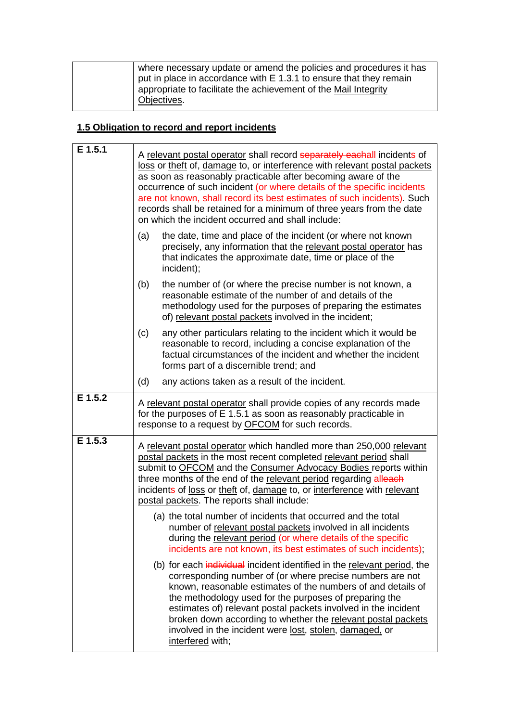| where necessary update or amend the policies and procedures it has<br>$\vert$ put in place in accordance with E 1.3.1 to ensure that they remain |
|--------------------------------------------------------------------------------------------------------------------------------------------------|
| appropriate to facilitate the achievement of the Mail Integrity<br>Objectives.                                                                   |

## **1.5 Obligation to record and report incidents**

| E 1.5.1 | A relevant postal operator shall record separately eachall incidents of<br>loss or theft of, damage to, or interference with relevant postal packets<br>as soon as reasonably practicable after becoming aware of the<br>occurrence of such incident (or where details of the specific incidents<br>are not known, shall record its best estimates of such incidents). Such<br>records shall be retained for a minimum of three years from the date<br>on which the incident occurred and shall include: |
|---------|----------------------------------------------------------------------------------------------------------------------------------------------------------------------------------------------------------------------------------------------------------------------------------------------------------------------------------------------------------------------------------------------------------------------------------------------------------------------------------------------------------|
|         | the date, time and place of the incident (or where not known<br>(a)<br>precisely, any information that the relevant postal operator has<br>that indicates the approximate date, time or place of the<br>incident);                                                                                                                                                                                                                                                                                       |
|         | (b)<br>the number of (or where the precise number is not known, a<br>reasonable estimate of the number of and details of the<br>methodology used for the purposes of preparing the estimates<br>of) relevant postal packets involved in the incident;                                                                                                                                                                                                                                                    |
|         | any other particulars relating to the incident which it would be<br>(c)<br>reasonable to record, including a concise explanation of the<br>factual circumstances of the incident and whether the incident<br>forms part of a discernible trend; and                                                                                                                                                                                                                                                      |
|         | (d)<br>any actions taken as a result of the incident.                                                                                                                                                                                                                                                                                                                                                                                                                                                    |
| E 1.5.2 | A relevant postal operator shall provide copies of any records made<br>for the purposes of E 1.5.1 as soon as reasonably practicable in<br>response to a request by <b>OFCOM</b> for such records.                                                                                                                                                                                                                                                                                                       |
| E 1.5.3 | A relevant postal operator which handled more than 250,000 relevant<br>postal packets in the most recent completed relevant period shall<br>submit to OFCOM and the Consumer Advocacy Bodies reports within<br>three months of the end of the relevant period regarding alleach<br>incidents of loss or theft of, damage to, or interference with relevant<br>postal packets. The reports shall include:                                                                                                 |
|         | (a) the total number of incidents that occurred and the total<br>number of relevant postal packets involved in all incidents<br>during the relevant period (or where details of the specific<br>incidents are not known, its best estimates of such incidents);                                                                                                                                                                                                                                          |
|         | (b) for each individual incident identified in the relevant period, the<br>corresponding number of (or where precise numbers are not<br>known, reasonable estimates of the numbers of and details of<br>the methodology used for the purposes of preparing the<br>estimates of) relevant postal packets involved in the incident<br>broken down according to whether the relevant postal packets<br>involved in the incident were lost, stolen, damaged, or<br>interfered with;                          |